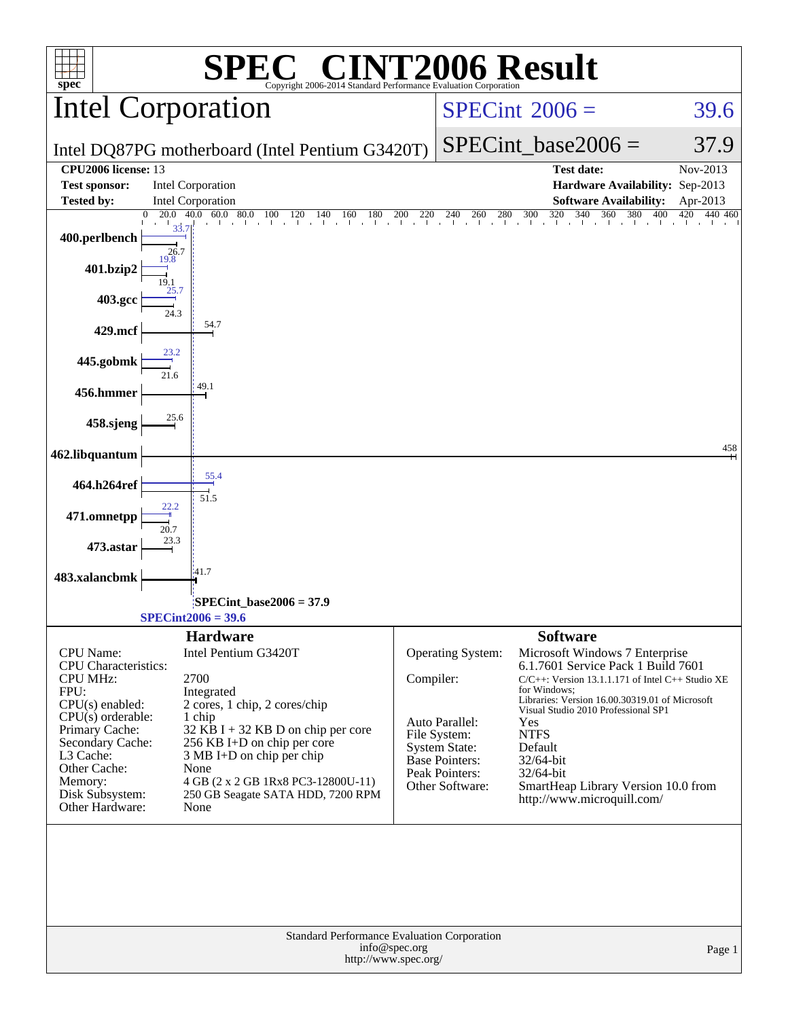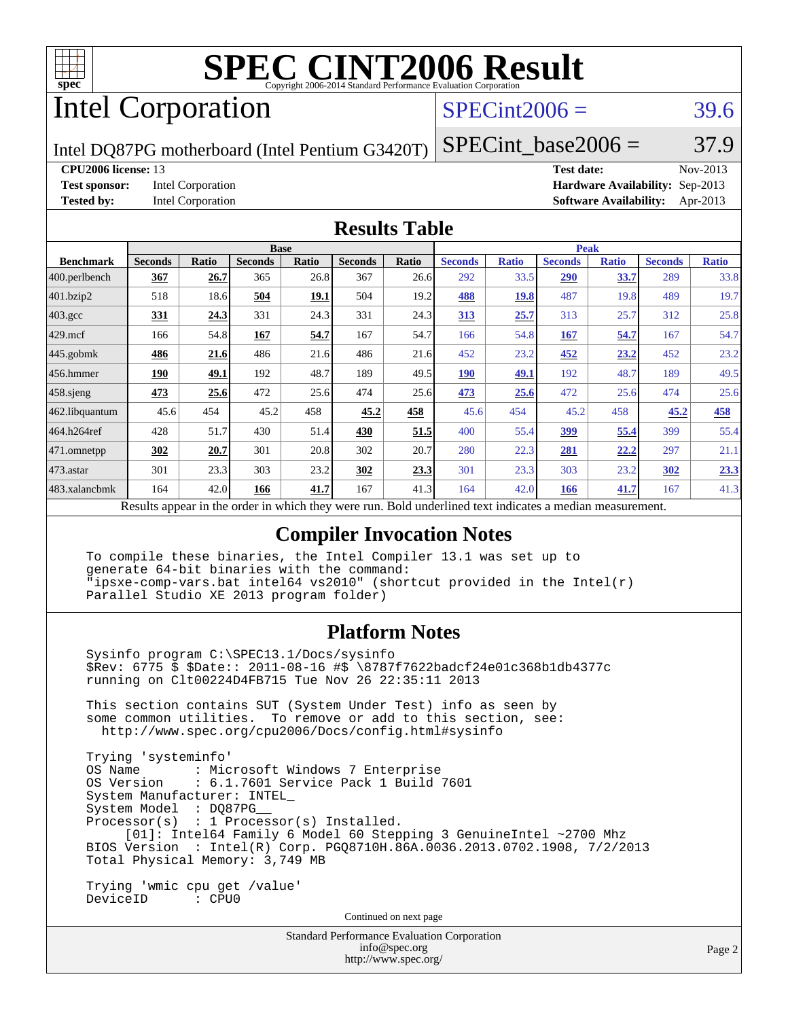

# Intel Corporation

# $SPECint2006 = 39.6$  $SPECint2006 = 39.6$

Intel DQ87PG motherboard (Intel Pentium G3420T)

### SPECint base2006 =  $37.9$

**[CPU2006 license:](http://www.spec.org/auto/cpu2006/Docs/result-fields.html#CPU2006license)** 13 **[Test date:](http://www.spec.org/auto/cpu2006/Docs/result-fields.html#Testdate)** Nov-2013 **[Test sponsor:](http://www.spec.org/auto/cpu2006/Docs/result-fields.html#Testsponsor)** Intel Corporation **[Hardware Availability:](http://www.spec.org/auto/cpu2006/Docs/result-fields.html#HardwareAvailability)** Sep-2013 **[Tested by:](http://www.spec.org/auto/cpu2006/Docs/result-fields.html#Testedby)** Intel Corporation **[Software Availability:](http://www.spec.org/auto/cpu2006/Docs/result-fields.html#SoftwareAvailability)** Apr-2013

#### **[Results Table](http://www.spec.org/auto/cpu2006/Docs/result-fields.html#ResultsTable)**

| <b>Seconds</b> |                           | <b>Base</b>    |       |                       |       |                |              | <b>Peak</b>                                     |              |                |              |  |  |
|----------------|---------------------------|----------------|-------|-----------------------|-------|----------------|--------------|-------------------------------------------------|--------------|----------------|--------------|--|--|
|                | Ratio                     | <b>Seconds</b> | Ratio | <b>Seconds</b>        | Ratio | <b>Seconds</b> | <b>Ratio</b> | <b>Seconds</b>                                  | <b>Ratio</b> | <b>Seconds</b> | <b>Ratio</b> |  |  |
| 367            | 26.7                      | 365            | 26.8  | 367                   | 26.6  | 292            | 33.5         | 290                                             | 33.7         | 289            | 33.8         |  |  |
| 518            | 18.6                      | 504            | 19.1  | 504                   | 19.2  | 488            | 19.8         | 487                                             | 19.8         | 489            | 19.7         |  |  |
| 331            | 24.3                      | 331            | 24.3  | 331                   | 24.3  | 313            | 25.7         | 313                                             | 25.7         | 312            | 25.8         |  |  |
| 166            | 54.8                      | 167            | 54.7  | 167                   | 54.7  | 166            | 54.8         | 167                                             | 54.7         | 167            | 54.7         |  |  |
| 486            | 21.6                      | 486            | 21.6  | 486                   | 21.6  | 452            | 23.2         | 452                                             | 23.2         | 452            | 23.2         |  |  |
| 190            | 49.1                      | 192            | 48.7  | 189                   | 49.5  | <b>190</b>     | 49.1         | 192                                             | 48.7         | 189            | 49.5         |  |  |
| 473            | 25.6                      | 472            | 25.6  | 474                   | 25.6  | 473            | 25.6         | 472                                             | 25.6         | 474            | 25.6         |  |  |
| 45.6           | 454                       | 45.2           | 458   | 45.2                  | 458   | 45.6           | 454          | 45.2                                            | 458          | 45.2           | 458          |  |  |
| 428            | 51.7                      | 430            | 51.4  | 430                   | 51.5  | 400            | 55.4         | 399                                             | 55.4         | 399            | 55.4         |  |  |
| 302            | 20.7                      | 301            | 20.8  | 302                   | 20.7  | 280            | 22.3         | 281                                             | 22.2         | 297            | 21.1         |  |  |
| 301            | 23.3                      | 303            | 23.2  | 302                   | 23.3  | 301            | 23.3         | 303                                             | 23.2         | 302            | 23.3         |  |  |
| 164            | 42.0                      | 166            | 41.7  | 167                   | 41.3  | 164            | 42.0         | 166                                             | 41.7         | 167            | 41.3         |  |  |
|                | $\mathbf{D}$ $\mathbf{L}$ | 2.11           |       | 1.3.1<br>$\lambda$ 1. |       | D.11           |              | $-11.144$<br>$1.4.41$ and $1.4.41$ and $1.4.41$ |              |                |              |  |  |

Results appear in the [order in which they were run.](http://www.spec.org/auto/cpu2006/Docs/result-fields.html#RunOrder) Bold underlined text [indicates a median measurement.](http://www.spec.org/auto/cpu2006/Docs/result-fields.html#Median)

#### **[Compiler Invocation Notes](http://www.spec.org/auto/cpu2006/Docs/result-fields.html#CompilerInvocationNotes)**

 To compile these binaries, the Intel Compiler 13.1 was set up to generate 64-bit binaries with the command: "ipsxe-comp-vars.bat intel64 vs2010" (shortcut provided in the Intel(r) Parallel Studio XE 2013 program folder)

#### **[Platform Notes](http://www.spec.org/auto/cpu2006/Docs/result-fields.html#PlatformNotes)**

 Sysinfo program C:\SPEC13.1/Docs/sysinfo \$Rev: 6775 \$ \$Date:: 2011-08-16 #\$ \8787f7622badcf24e01c368b1db4377c running on Clt00224D4FB715 Tue Nov 26 22:35:11 2013 This section contains SUT (System Under Test) info as seen by

 some common utilities. To remove or add to this section, see: <http://www.spec.org/cpu2006/Docs/config.html#sysinfo>

 Trying 'systeminfo' : Microsoft Windows 7 Enterprise OS Version : 6.1.7601 Service Pack 1 Build 7601 System Manufacturer: INTEL\_ System Model : DQ87PG\_\_ Processor(s) : 1 Processor(s) Installed. [01]: Intel64 Family 6 Model 60 Stepping 3 GenuineIntel ~2700 Mhz BIOS Version : Intel(R) Corp. PGQ8710H.86A.0036.2013.0702.1908, 7/2/2013 Total Physical Memory: 3,749 MB Trying 'wmic cpu get /value'

DeviceID : CPU0

Continued on next page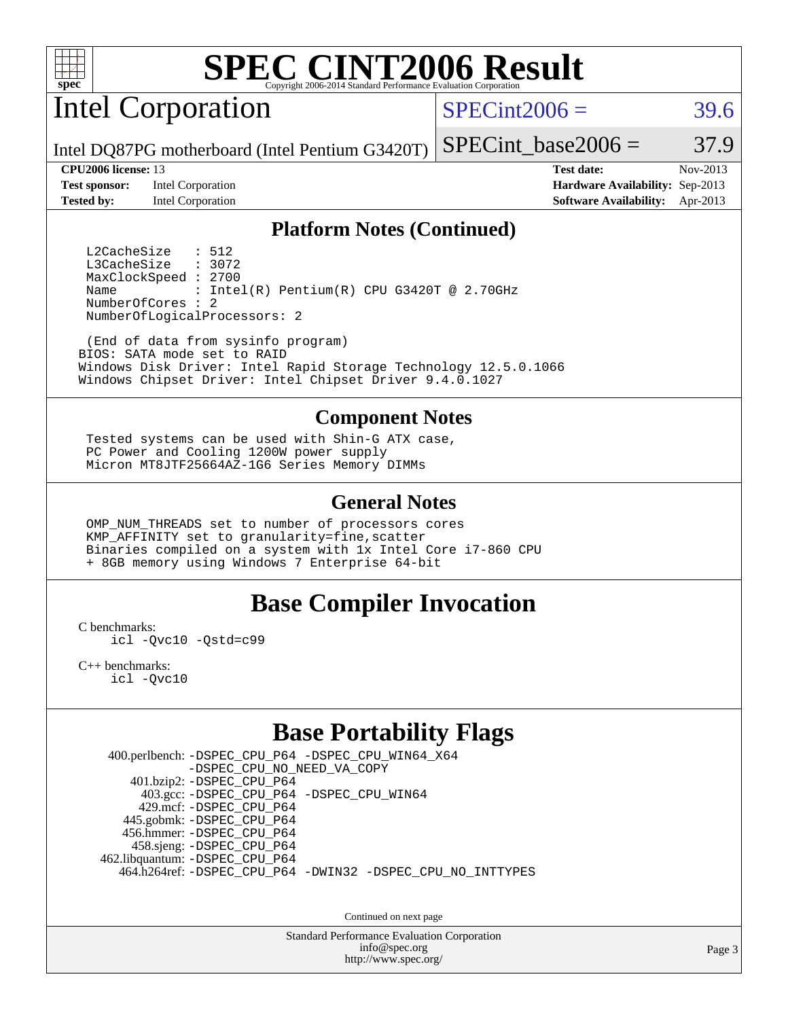

Intel Corporation

 $SPECint2006 = 39.6$  $SPECint2006 = 39.6$ 

Intel DQ87PG motherboard (Intel Pentium G3420T)

**[Test sponsor:](http://www.spec.org/auto/cpu2006/Docs/result-fields.html#Testsponsor)** Intel Corporation **[Hardware Availability:](http://www.spec.org/auto/cpu2006/Docs/result-fields.html#HardwareAvailability)** Sep-2013 **[Tested by:](http://www.spec.org/auto/cpu2006/Docs/result-fields.html#Testedby)** Intel Corporation **[Software Availability:](http://www.spec.org/auto/cpu2006/Docs/result-fields.html#SoftwareAvailability)** Apr-2013

**[CPU2006 license:](http://www.spec.org/auto/cpu2006/Docs/result-fields.html#CPU2006license)** 13 **[Test date:](http://www.spec.org/auto/cpu2006/Docs/result-fields.html#Testdate)** Nov-2013

SPECint base2006 =  $37.9$ 

#### **[Platform Notes \(Continued\)](http://www.spec.org/auto/cpu2006/Docs/result-fields.html#PlatformNotes)**

L2CacheSize : 512<br>L3CacheSize : 3072 L3CacheSize MaxClockSpeed : 2700 Name : Intel(R) Pentium(R) CPU G3420T @ 2.70GHz NumberOfCores : 2 NumberOfLogicalProcessors: 2

 (End of data from sysinfo program) BIOS: SATA mode set to RAID Windows Disk Driver: Intel Rapid Storage Technology 12.5.0.1066 Windows Chipset Driver: Intel Chipset Driver 9.4.0.1027

#### **[Component Notes](http://www.spec.org/auto/cpu2006/Docs/result-fields.html#ComponentNotes)**

 Tested systems can be used with Shin-G ATX case, PC Power and Cooling 1200W power supply Micron MT8JTF25664AZ-1G6 Series Memory DIMMs

#### **[General Notes](http://www.spec.org/auto/cpu2006/Docs/result-fields.html#GeneralNotes)**

 OMP\_NUM\_THREADS set to number of processors cores KMP\_AFFINITY set to granularity=fine,scatter Binaries compiled on a system with 1x Intel Core i7-860 CPU + 8GB memory using Windows 7 Enterprise 64-bit

### **[Base Compiler Invocation](http://www.spec.org/auto/cpu2006/Docs/result-fields.html#BaseCompilerInvocation)**

[C benchmarks](http://www.spec.org/auto/cpu2006/Docs/result-fields.html#Cbenchmarks):

[icl -Qvc10](http://www.spec.org/cpu2006/results/res2014q3/cpu2006-20140701-30252.flags.html#user_CCbase_intel_icc_vc10_9607f3ecbcdf68042245f068e51b40c1) [-Qstd=c99](http://www.spec.org/cpu2006/results/res2014q3/cpu2006-20140701-30252.flags.html#user_CCbase_intel_compiler_c99_mode_1a3d110e3041b3ad4466830521bdad2a)

[C++ benchmarks:](http://www.spec.org/auto/cpu2006/Docs/result-fields.html#CXXbenchmarks) [icl -Qvc10](http://www.spec.org/cpu2006/results/res2014q3/cpu2006-20140701-30252.flags.html#user_CXXbase_intel_icc_vc10_9607f3ecbcdf68042245f068e51b40c1)

## **[Base Portability Flags](http://www.spec.org/auto/cpu2006/Docs/result-fields.html#BasePortabilityFlags)**

 400.perlbench: [-DSPEC\\_CPU\\_P64](http://www.spec.org/cpu2006/results/res2014q3/cpu2006-20140701-30252.flags.html#b400.perlbench_basePORTABILITY_DSPEC_CPU_P64) [-DSPEC\\_CPU\\_WIN64\\_X64](http://www.spec.org/cpu2006/results/res2014q3/cpu2006-20140701-30252.flags.html#b400.perlbench_baseCPORTABILITY_DSPEC_CPU_WIN64_X64) [-DSPEC\\_CPU\\_NO\\_NEED\\_VA\\_COPY](http://www.spec.org/cpu2006/results/res2014q3/cpu2006-20140701-30252.flags.html#b400.perlbench_baseCPORTABILITY_DSPEC_CPU_NO_NEED_VA_COPY) 401.bzip2: [-DSPEC\\_CPU\\_P64](http://www.spec.org/cpu2006/results/res2014q3/cpu2006-20140701-30252.flags.html#suite_basePORTABILITY401_bzip2_DSPEC_CPU_P64) 403.gcc: [-DSPEC\\_CPU\\_P64](http://www.spec.org/cpu2006/results/res2014q3/cpu2006-20140701-30252.flags.html#suite_basePORTABILITY403_gcc_DSPEC_CPU_P64) [-DSPEC\\_CPU\\_WIN64](http://www.spec.org/cpu2006/results/res2014q3/cpu2006-20140701-30252.flags.html#b403.gcc_baseCPORTABILITY_DSPEC_CPU_WIN64) 429.mcf: [-DSPEC\\_CPU\\_P64](http://www.spec.org/cpu2006/results/res2014q3/cpu2006-20140701-30252.flags.html#suite_basePORTABILITY429_mcf_DSPEC_CPU_P64) 445.gobmk: [-DSPEC\\_CPU\\_P64](http://www.spec.org/cpu2006/results/res2014q3/cpu2006-20140701-30252.flags.html#suite_basePORTABILITY445_gobmk_DSPEC_CPU_P64) 456.hmmer: [-DSPEC\\_CPU\\_P64](http://www.spec.org/cpu2006/results/res2014q3/cpu2006-20140701-30252.flags.html#suite_basePORTABILITY456_hmmer_DSPEC_CPU_P64) 458.sjeng: [-DSPEC\\_CPU\\_P64](http://www.spec.org/cpu2006/results/res2014q3/cpu2006-20140701-30252.flags.html#suite_basePORTABILITY458_sjeng_DSPEC_CPU_P64) 462.libquantum: [-DSPEC\\_CPU\\_P64](http://www.spec.org/cpu2006/results/res2014q3/cpu2006-20140701-30252.flags.html#suite_basePORTABILITY462_libquantum_DSPEC_CPU_P64) 464.h264ref: [-DSPEC\\_CPU\\_P64](http://www.spec.org/cpu2006/results/res2014q3/cpu2006-20140701-30252.flags.html#suite_basePORTABILITY464_h264ref_DSPEC_CPU_P64) [-DWIN32](http://www.spec.org/cpu2006/results/res2014q3/cpu2006-20140701-30252.flags.html#b464.h264ref_baseCPORTABILITY_DWIN32) [-DSPEC\\_CPU\\_NO\\_INTTYPES](http://www.spec.org/cpu2006/results/res2014q3/cpu2006-20140701-30252.flags.html#b464.h264ref_baseCPORTABILITY_DSPEC_CPU_NO_INTTYPES)

Continued on next page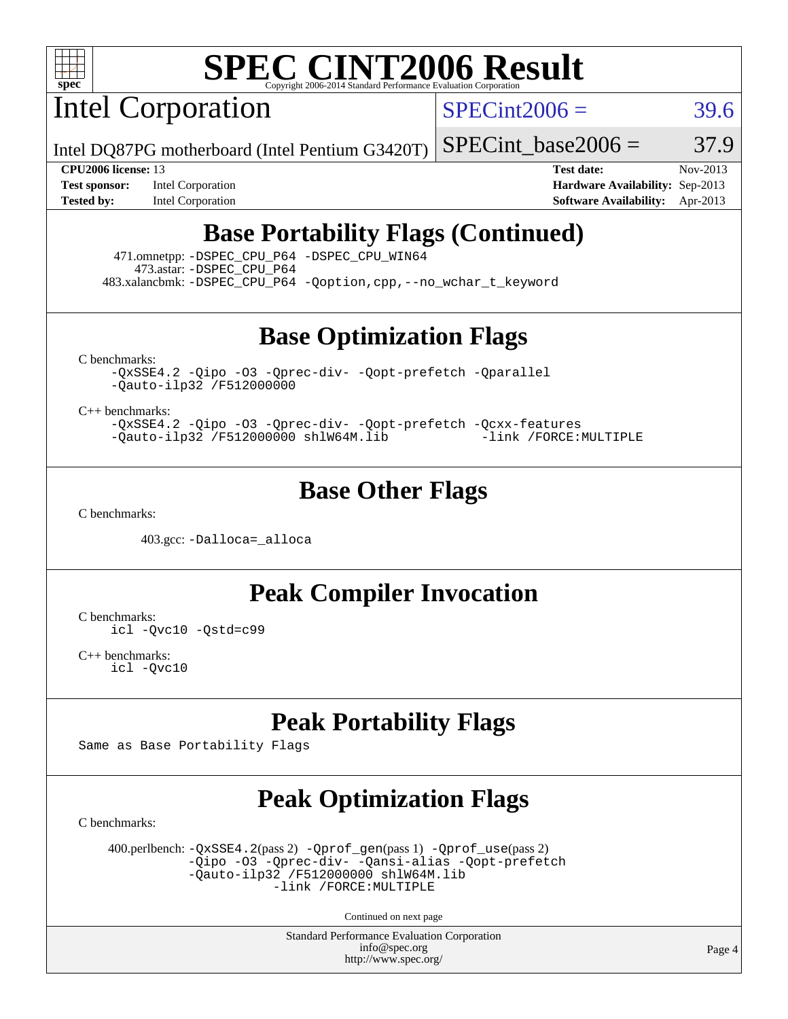

Intel Corporation

 $SPECint2006 = 39.6$  $SPECint2006 = 39.6$ 

Intel DQ87PG motherboard (Intel Pentium G3420T)

SPECint base2006 =  $37.9$ 

**[Test sponsor:](http://www.spec.org/auto/cpu2006/Docs/result-fields.html#Testsponsor)** Intel Corporation **[Hardware Availability:](http://www.spec.org/auto/cpu2006/Docs/result-fields.html#HardwareAvailability)** Sep-2013

**[CPU2006 license:](http://www.spec.org/auto/cpu2006/Docs/result-fields.html#CPU2006license)** 13 **[Test date:](http://www.spec.org/auto/cpu2006/Docs/result-fields.html#Testdate)** Nov-2013 **[Tested by:](http://www.spec.org/auto/cpu2006/Docs/result-fields.html#Testedby)** Intel Corporation **[Software Availability:](http://www.spec.org/auto/cpu2006/Docs/result-fields.html#SoftwareAvailability)** Apr-2013

## **[Base Portability Flags \(Continued\)](http://www.spec.org/auto/cpu2006/Docs/result-fields.html#BasePortabilityFlags)**

 471.omnetpp: [-DSPEC\\_CPU\\_P64](http://www.spec.org/cpu2006/results/res2014q3/cpu2006-20140701-30252.flags.html#suite_basePORTABILITY471_omnetpp_DSPEC_CPU_P64) [-DSPEC\\_CPU\\_WIN64](http://www.spec.org/cpu2006/results/res2014q3/cpu2006-20140701-30252.flags.html#b471.omnetpp_baseCXXPORTABILITY_DSPEC_CPU_WIN64) 473.astar: [-DSPEC\\_CPU\\_P64](http://www.spec.org/cpu2006/results/res2014q3/cpu2006-20140701-30252.flags.html#suite_basePORTABILITY473_astar_DSPEC_CPU_P64) 483.xalancbmk: [-DSPEC\\_CPU\\_P64](http://www.spec.org/cpu2006/results/res2014q3/cpu2006-20140701-30252.flags.html#suite_basePORTABILITY483_xalancbmk_DSPEC_CPU_P64) [-Qoption,cpp,--no\\_wchar\\_t\\_keyword](http://www.spec.org/cpu2006/results/res2014q3/cpu2006-20140701-30252.flags.html#user_baseCXXPORTABILITY483_xalancbmk_f-no_wchar_t_keyword_ec0ad4495a16b4e858bfcb29d949d25d)

**[Base Optimization Flags](http://www.spec.org/auto/cpu2006/Docs/result-fields.html#BaseOptimizationFlags)**

[C benchmarks](http://www.spec.org/auto/cpu2006/Docs/result-fields.html#Cbenchmarks):

[-QxSSE4.2](http://www.spec.org/cpu2006/results/res2014q3/cpu2006-20140701-30252.flags.html#user_CCbase_f-QxSSE42_372695bbe211719895df0310b324a1ca) [-Qipo](http://www.spec.org/cpu2006/results/res2014q3/cpu2006-20140701-30252.flags.html#user_CCbase_f-Qipo) [-O3](http://www.spec.org/cpu2006/results/res2014q3/cpu2006-20140701-30252.flags.html#user_CCbase_f-O3) [-Qprec-div-](http://www.spec.org/cpu2006/results/res2014q3/cpu2006-20140701-30252.flags.html#user_CCbase_f-Qprec-div-) [-Qopt-prefetch](http://www.spec.org/cpu2006/results/res2014q3/cpu2006-20140701-30252.flags.html#user_CCbase_f-Qprefetch_37c211608666b9dff9380561f602f0a8) [-Qparallel](http://www.spec.org/cpu2006/results/res2014q3/cpu2006-20140701-30252.flags.html#user_CCbase_f-Qparallel) [-Qauto-ilp32](http://www.spec.org/cpu2006/results/res2014q3/cpu2006-20140701-30252.flags.html#user_CCbase_f-Qauto-ilp32) [/F512000000](http://www.spec.org/cpu2006/results/res2014q3/cpu2006-20140701-30252.flags.html#user_CCbase_set_stack_space_98438a10eb60aa5f35f4c79d9b9b27b1)

[C++ benchmarks:](http://www.spec.org/auto/cpu2006/Docs/result-fields.html#CXXbenchmarks)

[-QxSSE4.2](http://www.spec.org/cpu2006/results/res2014q3/cpu2006-20140701-30252.flags.html#user_CXXbase_f-QxSSE42_372695bbe211719895df0310b324a1ca) [-Qipo](http://www.spec.org/cpu2006/results/res2014q3/cpu2006-20140701-30252.flags.html#user_CXXbase_f-Qipo) [-O3](http://www.spec.org/cpu2006/results/res2014q3/cpu2006-20140701-30252.flags.html#user_CXXbase_f-O3) [-Qprec-div-](http://www.spec.org/cpu2006/results/res2014q3/cpu2006-20140701-30252.flags.html#user_CXXbase_f-Qprec-div-) [-Qopt-prefetch](http://www.spec.org/cpu2006/results/res2014q3/cpu2006-20140701-30252.flags.html#user_CXXbase_f-Qprefetch_37c211608666b9dff9380561f602f0a8) [-Qcxx-features](http://www.spec.org/cpu2006/results/res2014q3/cpu2006-20140701-30252.flags.html#user_CXXbase_f-Qcxx_features_dbf36c8a6dba956e22f1645e4dcd4d98) [-Qauto-ilp32](http://www.spec.org/cpu2006/results/res2014q3/cpu2006-20140701-30252.flags.html#user_CXXbase_f-Qauto-ilp32) [/F512000000](http://www.spec.org/cpu2006/results/res2014q3/cpu2006-20140701-30252.flags.html#user_CXXbase_set_stack_space_98438a10eb60aa5f35f4c79d9b9b27b1) [shlW64M.lib](http://www.spec.org/cpu2006/results/res2014q3/cpu2006-20140701-30252.flags.html#user_CXXbase_SmartHeap64_c4f7f76711bdf8c0633a5c1edf6e5396) [-link /FORCE:MULTIPLE](http://www.spec.org/cpu2006/results/res2014q3/cpu2006-20140701-30252.flags.html#user_CXXbase_link_force_multiple2_070fe330869edf77077b841074b8b0b6)

### **[Base Other Flags](http://www.spec.org/auto/cpu2006/Docs/result-fields.html#BaseOtherFlags)**

[C benchmarks](http://www.spec.org/auto/cpu2006/Docs/result-fields.html#Cbenchmarks):

403.gcc: [-Dalloca=\\_alloca](http://www.spec.org/cpu2006/results/res2014q3/cpu2006-20140701-30252.flags.html#b403.gcc_baseEXTRA_CFLAGS_Dalloca_be3056838c12de2578596ca5467af7f3)

**[Peak Compiler Invocation](http://www.spec.org/auto/cpu2006/Docs/result-fields.html#PeakCompilerInvocation)**

[C benchmarks](http://www.spec.org/auto/cpu2006/Docs/result-fields.html#Cbenchmarks): [icl -Qvc10](http://www.spec.org/cpu2006/results/res2014q3/cpu2006-20140701-30252.flags.html#user_CCpeak_intel_icc_vc10_9607f3ecbcdf68042245f068e51b40c1) [-Qstd=c99](http://www.spec.org/cpu2006/results/res2014q3/cpu2006-20140701-30252.flags.html#user_CCpeak_intel_compiler_c99_mode_1a3d110e3041b3ad4466830521bdad2a)

[C++ benchmarks:](http://www.spec.org/auto/cpu2006/Docs/result-fields.html#CXXbenchmarks) [icl -Qvc10](http://www.spec.org/cpu2006/results/res2014q3/cpu2006-20140701-30252.flags.html#user_CXXpeak_intel_icc_vc10_9607f3ecbcdf68042245f068e51b40c1)

## **[Peak Portability Flags](http://www.spec.org/auto/cpu2006/Docs/result-fields.html#PeakPortabilityFlags)**

Same as Base Portability Flags

# **[Peak Optimization Flags](http://www.spec.org/auto/cpu2006/Docs/result-fields.html#PeakOptimizationFlags)**

[C benchmarks](http://www.spec.org/auto/cpu2006/Docs/result-fields.html#Cbenchmarks):

 400.perlbench: [-QxSSE4.2](http://www.spec.org/cpu2006/results/res2014q3/cpu2006-20140701-30252.flags.html#user_peakPASS2_CFLAGSPASS2_LDFLAGS400_perlbench_f-QxSSE42_372695bbe211719895df0310b324a1ca)(pass 2) [-Qprof\\_gen](http://www.spec.org/cpu2006/results/res2014q3/cpu2006-20140701-30252.flags.html#user_peakPASS1_CFLAGSPASS1_LDFLAGS400_perlbench_Qprof_gen)(pass 1) [-Qprof\\_use](http://www.spec.org/cpu2006/results/res2014q3/cpu2006-20140701-30252.flags.html#user_peakPASS2_CFLAGSPASS2_LDFLAGS400_perlbench_Qprof_use)(pass 2) [-Qipo](http://www.spec.org/cpu2006/results/res2014q3/cpu2006-20140701-30252.flags.html#user_peakOPTIMIZE400_perlbench_f-Qipo) [-O3](http://www.spec.org/cpu2006/results/res2014q3/cpu2006-20140701-30252.flags.html#user_peakOPTIMIZE400_perlbench_f-O3) [-Qprec-div-](http://www.spec.org/cpu2006/results/res2014q3/cpu2006-20140701-30252.flags.html#user_peakOPTIMIZE400_perlbench_f-Qprec-div-) [-Qansi-alias](http://www.spec.org/cpu2006/results/res2014q3/cpu2006-20140701-30252.flags.html#user_peakOPTIMIZE400_perlbench_f-Qansi-alias) [-Qopt-prefetch](http://www.spec.org/cpu2006/results/res2014q3/cpu2006-20140701-30252.flags.html#user_peakOPTIMIZE400_perlbench_f-Qprefetch_37c211608666b9dff9380561f602f0a8)  $-\tilde{Q}$ auto-ilp32 [/F512000000](http://www.spec.org/cpu2006/results/res2014q3/cpu2006-20140701-30252.flags.html#user_peakEXTRA_LDFLAGS400_perlbench_set_stack_space_98438a10eb60aa5f35f4c79d9b9b27b1) [shlW64M.lib](http://www.spec.org/cpu2006/results/res2014q3/cpu2006-20140701-30252.flags.html#user_peakEXTRA_LIBS400_perlbench_SmartHeap64_c4f7f76711bdf8c0633a5c1edf6e5396)  [-link /FORCE:MULTIPLE](http://www.spec.org/cpu2006/results/res2014q3/cpu2006-20140701-30252.flags.html#user_peakLDOUT400_perlbench_link_force_multiple2_070fe330869edf77077b841074b8b0b6)

Continued on next page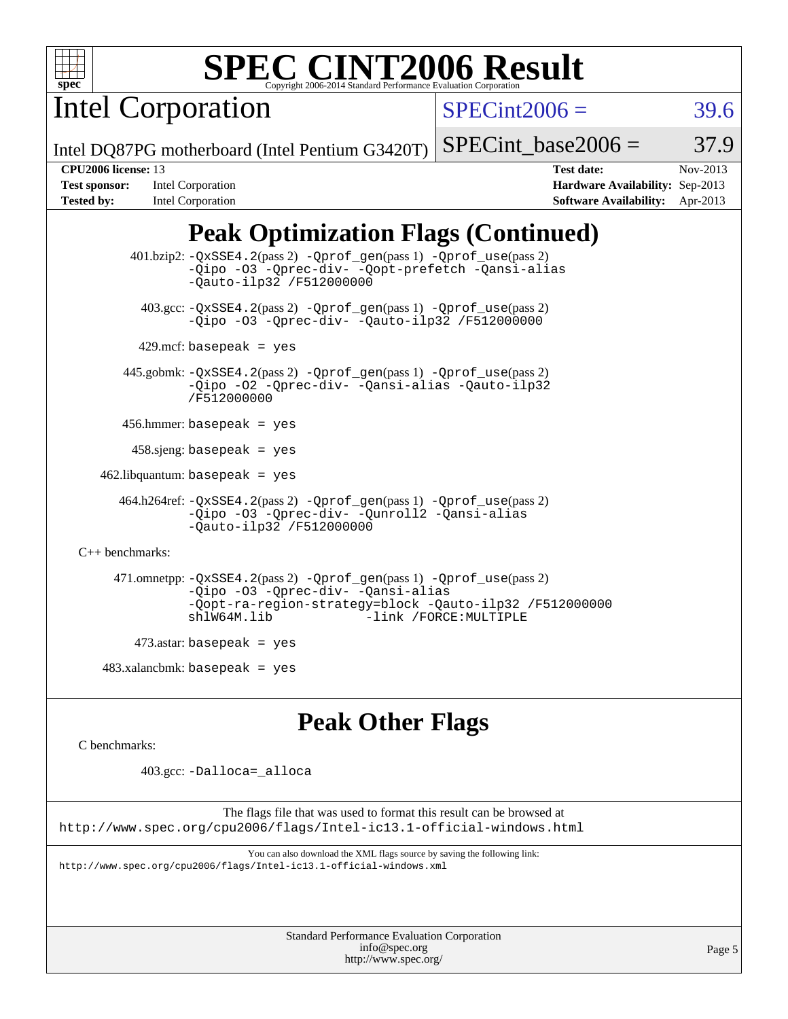

Intel Corporation

 $SPECint2006 = 39.6$  $SPECint2006 = 39.6$ 

Intel DQ87PG motherboard (Intel Pentium G3420T)

#### SPECint base2006 =  $37.9$

**[Test sponsor:](http://www.spec.org/auto/cpu2006/Docs/result-fields.html#Testsponsor)** Intel Corporation **[Hardware Availability:](http://www.spec.org/auto/cpu2006/Docs/result-fields.html#HardwareAvailability)** Sep-2013 **[Tested by:](http://www.spec.org/auto/cpu2006/Docs/result-fields.html#Testedby)** Intel Corporation **[Software Availability:](http://www.spec.org/auto/cpu2006/Docs/result-fields.html#SoftwareAvailability)** Apr-2013

**[CPU2006 license:](http://www.spec.org/auto/cpu2006/Docs/result-fields.html#CPU2006license)** 13 **[Test date:](http://www.spec.org/auto/cpu2006/Docs/result-fields.html#Testdate)** Nov-2013

# **[Peak Optimization Flags \(Continued\)](http://www.spec.org/auto/cpu2006/Docs/result-fields.html#PeakOptimizationFlags)**

 401.bzip2: [-QxSSE4.2](http://www.spec.org/cpu2006/results/res2014q3/cpu2006-20140701-30252.flags.html#user_peakPASS2_CFLAGSPASS2_LDFLAGS401_bzip2_f-QxSSE42_372695bbe211719895df0310b324a1ca)(pass 2) [-Qprof\\_gen](http://www.spec.org/cpu2006/results/res2014q3/cpu2006-20140701-30252.flags.html#user_peakPASS1_CFLAGSPASS1_LDFLAGS401_bzip2_Qprof_gen)(pass 1) [-Qprof\\_use](http://www.spec.org/cpu2006/results/res2014q3/cpu2006-20140701-30252.flags.html#user_peakPASS2_CFLAGSPASS2_LDFLAGS401_bzip2_Qprof_use)(pass 2) [-Qipo](http://www.spec.org/cpu2006/results/res2014q3/cpu2006-20140701-30252.flags.html#user_peakOPTIMIZE401_bzip2_f-Qipo) [-O3](http://www.spec.org/cpu2006/results/res2014q3/cpu2006-20140701-30252.flags.html#user_peakOPTIMIZE401_bzip2_f-O3) [-Qprec-div-](http://www.spec.org/cpu2006/results/res2014q3/cpu2006-20140701-30252.flags.html#user_peakOPTIMIZE401_bzip2_f-Qprec-div-) [-Qopt-prefetch](http://www.spec.org/cpu2006/results/res2014q3/cpu2006-20140701-30252.flags.html#user_peakOPTIMIZE401_bzip2_f-Qprefetch_37c211608666b9dff9380561f602f0a8) [-Qansi-alias](http://www.spec.org/cpu2006/results/res2014q3/cpu2006-20140701-30252.flags.html#user_peakOPTIMIZE401_bzip2_f-Qansi-alias) [-Qauto-ilp32](http://www.spec.org/cpu2006/results/res2014q3/cpu2006-20140701-30252.flags.html#user_peakCOPTIMIZE401_bzip2_f-Qauto-ilp32) [/F512000000](http://www.spec.org/cpu2006/results/res2014q3/cpu2006-20140701-30252.flags.html#user_peakEXTRA_LDFLAGS401_bzip2_set_stack_space_98438a10eb60aa5f35f4c79d9b9b27b1) 403.gcc: [-QxSSE4.2](http://www.spec.org/cpu2006/results/res2014q3/cpu2006-20140701-30252.flags.html#user_peakPASS2_CFLAGSPASS2_LDFLAGS403_gcc_f-QxSSE42_372695bbe211719895df0310b324a1ca)(pass 2) [-Qprof\\_gen](http://www.spec.org/cpu2006/results/res2014q3/cpu2006-20140701-30252.flags.html#user_peakPASS1_CFLAGSPASS1_LDFLAGS403_gcc_Qprof_gen)(pass 1) [-Qprof\\_use](http://www.spec.org/cpu2006/results/res2014q3/cpu2006-20140701-30252.flags.html#user_peakPASS2_CFLAGSPASS2_LDFLAGS403_gcc_Qprof_use)(pass 2) [-Qipo](http://www.spec.org/cpu2006/results/res2014q3/cpu2006-20140701-30252.flags.html#user_peakOPTIMIZE403_gcc_f-Qipo) [-O3](http://www.spec.org/cpu2006/results/res2014q3/cpu2006-20140701-30252.flags.html#user_peakOPTIMIZE403_gcc_f-O3) [-Qprec-div-](http://www.spec.org/cpu2006/results/res2014q3/cpu2006-20140701-30252.flags.html#user_peakOPTIMIZE403_gcc_f-Qprec-div-) [-Qauto-ilp32](http://www.spec.org/cpu2006/results/res2014q3/cpu2006-20140701-30252.flags.html#user_peakCOPTIMIZE403_gcc_f-Qauto-ilp32) [/F512000000](http://www.spec.org/cpu2006/results/res2014q3/cpu2006-20140701-30252.flags.html#user_peakEXTRA_LDFLAGS403_gcc_set_stack_space_98438a10eb60aa5f35f4c79d9b9b27b1)  $429$ .mcf: basepeak = yes 445.gobmk: [-QxSSE4.2](http://www.spec.org/cpu2006/results/res2014q3/cpu2006-20140701-30252.flags.html#user_peakPASS2_CFLAGSPASS2_LDFLAGS445_gobmk_f-QxSSE42_372695bbe211719895df0310b324a1ca)(pass 2) [-Qprof\\_gen](http://www.spec.org/cpu2006/results/res2014q3/cpu2006-20140701-30252.flags.html#user_peakPASS1_CFLAGSPASS1_LDFLAGS445_gobmk_Qprof_gen)(pass 1) [-Qprof\\_use](http://www.spec.org/cpu2006/results/res2014q3/cpu2006-20140701-30252.flags.html#user_peakPASS2_CFLAGSPASS2_LDFLAGS445_gobmk_Qprof_use)(pass 2) [-Qipo](http://www.spec.org/cpu2006/results/res2014q3/cpu2006-20140701-30252.flags.html#user_peakOPTIMIZE445_gobmk_f-Qipo) [-O2](http://www.spec.org/cpu2006/results/res2014q3/cpu2006-20140701-30252.flags.html#user_peakOPTIMIZE445_gobmk_f-O2) [-Qprec-div-](http://www.spec.org/cpu2006/results/res2014q3/cpu2006-20140701-30252.flags.html#user_peakOPTIMIZE445_gobmk_f-Qprec-div-) [-Qansi-alias](http://www.spec.org/cpu2006/results/res2014q3/cpu2006-20140701-30252.flags.html#user_peakOPTIMIZE445_gobmk_f-Qansi-alias) [-Qauto-ilp32](http://www.spec.org/cpu2006/results/res2014q3/cpu2006-20140701-30252.flags.html#user_peakCOPTIMIZE445_gobmk_f-Qauto-ilp32) [/F512000000](http://www.spec.org/cpu2006/results/res2014q3/cpu2006-20140701-30252.flags.html#user_peakEXTRA_LDFLAGS445_gobmk_set_stack_space_98438a10eb60aa5f35f4c79d9b9b27b1) 456.hmmer: basepeak = yes  $458 \text{.}$ sjeng: basepeak = yes  $462$ .libquantum: basepeak = yes 464.h264ref: [-QxSSE4.2](http://www.spec.org/cpu2006/results/res2014q3/cpu2006-20140701-30252.flags.html#user_peakPASS2_CFLAGSPASS2_LDFLAGS464_h264ref_f-QxSSE42_372695bbe211719895df0310b324a1ca)(pass 2) [-Qprof\\_gen](http://www.spec.org/cpu2006/results/res2014q3/cpu2006-20140701-30252.flags.html#user_peakPASS1_CFLAGSPASS1_LDFLAGS464_h264ref_Qprof_gen)(pass 1) [-Qprof\\_use](http://www.spec.org/cpu2006/results/res2014q3/cpu2006-20140701-30252.flags.html#user_peakPASS2_CFLAGSPASS2_LDFLAGS464_h264ref_Qprof_use)(pass 2) [-Qipo](http://www.spec.org/cpu2006/results/res2014q3/cpu2006-20140701-30252.flags.html#user_peakOPTIMIZE464_h264ref_f-Qipo) [-O3](http://www.spec.org/cpu2006/results/res2014q3/cpu2006-20140701-30252.flags.html#user_peakOPTIMIZE464_h264ref_f-O3) [-Qprec-div-](http://www.spec.org/cpu2006/results/res2014q3/cpu2006-20140701-30252.flags.html#user_peakOPTIMIZE464_h264ref_f-Qprec-div-) [-Qunroll2](http://www.spec.org/cpu2006/results/res2014q3/cpu2006-20140701-30252.flags.html#user_peakOPTIMIZE464_h264ref_f-Qunroll_1d9456aa650e77fc2a0cf43cef3fa08c) [-Qansi-alias](http://www.spec.org/cpu2006/results/res2014q3/cpu2006-20140701-30252.flags.html#user_peakOPTIMIZE464_h264ref_f-Qansi-alias) [-Qauto-ilp32](http://www.spec.org/cpu2006/results/res2014q3/cpu2006-20140701-30252.flags.html#user_peakCOPTIMIZE464_h264ref_f-Qauto-ilp32) [/F512000000](http://www.spec.org/cpu2006/results/res2014q3/cpu2006-20140701-30252.flags.html#user_peakEXTRA_LDFLAGS464_h264ref_set_stack_space_98438a10eb60aa5f35f4c79d9b9b27b1) [C++ benchmarks:](http://www.spec.org/auto/cpu2006/Docs/result-fields.html#CXXbenchmarks) 471.omnetpp: [-QxSSE4.2](http://www.spec.org/cpu2006/results/res2014q3/cpu2006-20140701-30252.flags.html#user_peakPASS2_CXXFLAGSPASS2_LDFLAGS471_omnetpp_f-QxSSE42_372695bbe211719895df0310b324a1ca)(pass 2) [-Qprof\\_gen](http://www.spec.org/cpu2006/results/res2014q3/cpu2006-20140701-30252.flags.html#user_peakPASS1_CXXFLAGSPASS1_LDFLAGS471_omnetpp_Qprof_gen)(pass 1) [-Qprof\\_use](http://www.spec.org/cpu2006/results/res2014q3/cpu2006-20140701-30252.flags.html#user_peakPASS2_CXXFLAGSPASS2_LDFLAGS471_omnetpp_Qprof_use)(pass 2) [-Qipo](http://www.spec.org/cpu2006/results/res2014q3/cpu2006-20140701-30252.flags.html#user_peakOPTIMIZE471_omnetpp_f-Qipo) [-O3](http://www.spec.org/cpu2006/results/res2014q3/cpu2006-20140701-30252.flags.html#user_peakOPTIMIZE471_omnetpp_f-O3) [-Qprec-div-](http://www.spec.org/cpu2006/results/res2014q3/cpu2006-20140701-30252.flags.html#user_peakOPTIMIZE471_omnetpp_f-Qprec-div-) [-Qansi-alias](http://www.spec.org/cpu2006/results/res2014q3/cpu2006-20140701-30252.flags.html#user_peakOPTIMIZE471_omnetpp_f-Qansi-alias) [-Qopt-ra-region-strategy=block](http://www.spec.org/cpu2006/results/res2014q3/cpu2006-20140701-30252.flags.html#user_peakOPTIMIZE471_omnetpp_f-Qopt-ra-region-strategy_d2240e80a5d9053a1fd400255dbf4159) [-Qauto-ilp32](http://www.spec.org/cpu2006/results/res2014q3/cpu2006-20140701-30252.flags.html#user_peakCXXOPTIMIZE471_omnetpp_f-Qauto-ilp32) [/F512000000](http://www.spec.org/cpu2006/results/res2014q3/cpu2006-20140701-30252.flags.html#user_peakEXTRA_LDFLAGS471_omnetpp_set_stack_space_98438a10eb60aa5f35f4c79d9b9b27b1) [shlW64M.lib](http://www.spec.org/cpu2006/results/res2014q3/cpu2006-20140701-30252.flags.html#user_peakEXTRA_LIBS471_omnetpp_SmartHeap64_c4f7f76711bdf8c0633a5c1edf6e5396) [-link /FORCE:MULTIPLE](http://www.spec.org/cpu2006/results/res2014q3/cpu2006-20140701-30252.flags.html#user_peakLDOUT471_omnetpp_link_force_multiple2_070fe330869edf77077b841074b8b0b6)  $473$ .astar: basepeak = yes  $483.xalanchmk: basepeak = yes$ 

## **[Peak Other Flags](http://www.spec.org/auto/cpu2006/Docs/result-fields.html#PeakOtherFlags)**

[C benchmarks](http://www.spec.org/auto/cpu2006/Docs/result-fields.html#Cbenchmarks):

403.gcc: [-Dalloca=\\_alloca](http://www.spec.org/cpu2006/results/res2014q3/cpu2006-20140701-30252.flags.html#b403.gcc_peakEXTRA_CFLAGS_Dalloca_be3056838c12de2578596ca5467af7f3)

The flags file that was used to format this result can be browsed at <http://www.spec.org/cpu2006/flags/Intel-ic13.1-official-windows.html>

You can also download the XML flags source by saving the following link: <http://www.spec.org/cpu2006/flags/Intel-ic13.1-official-windows.xml>